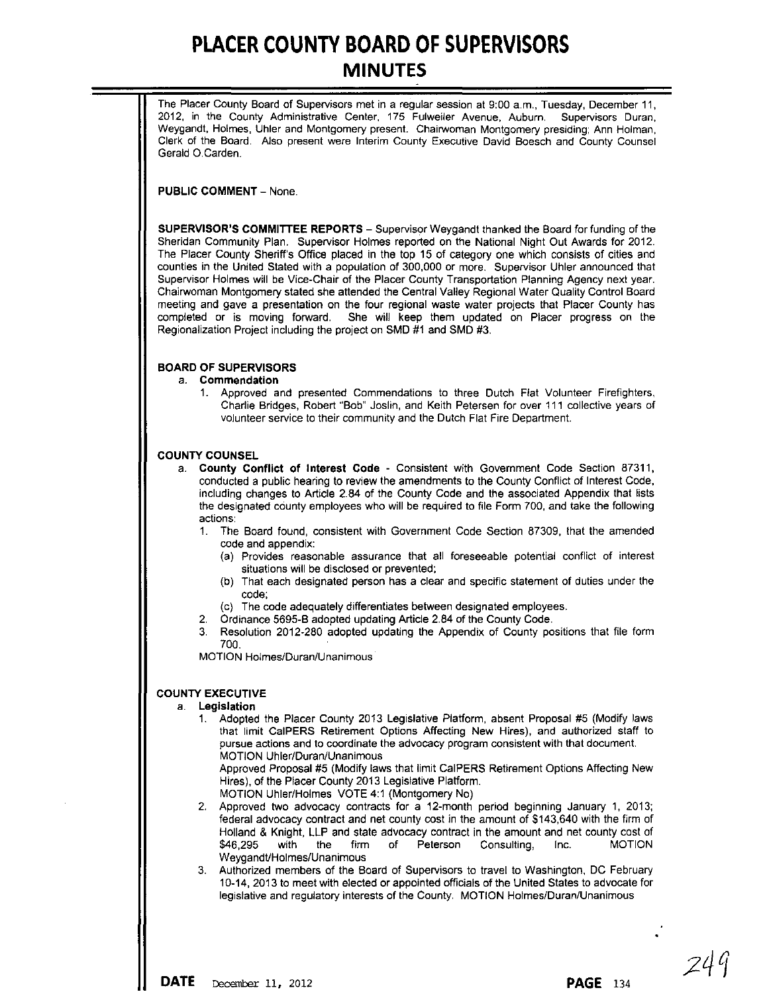**The Placer County Board of Supervisors met in a regular session at 9:00 a.m., Tuesday, December 11, 2012, in the County Administrative Center, 175 Fulweiler Avenue, Auburn. Supervisors Duran, Weygandt, Holmes, Uhler and Montgomery present. Chairwoman Montgomery presiding: Ann Holman, Clerk of the Board. Also present were Interim County Executive David Boesch and County Counsel**  Gerald O.Carden.

**PUBLIC COMMENT - None.** 

**SUPERVISOR'S COMMITTEE REPORTS** - Supervisor Weygandt thanked the Board for funding of the Sheridan Community Plan. Supervisor Holmes reported on the National Night Out Awards for 2012. The Placer County Sheriff's Office placed in the top 15 of category one which consists of cities and **counties in the United Stated with a population of 300,000 or more. Supervisor Uhler announced that Supervisor Holmes will be Vice-Chair of the Placer County Transportation Planning Agency next year.**  Chairwoman Montgomery stated she attended the Central Valley Regional Water Quality Control Board **meeting and gave a presentation on the four regional waste water projects that Placer County has**  completed or is moving forward. She will keep them updated on Placer progress on the Regionalization Project including the project on SMD #1 and SMD #3.

#### **BOARD OF SUPERVISORS**

#### **a. Commendation**

**1. Approved and presented Commendations to three Dutch Flat Volunteer Firefighters, Charlie Bridges, Robert "Bob" Joslin, and Keith Petersen for over 111 collective years of volunteer service to their community and the Dutch Flat Fire Department.** 

#### **COUNTY COUNSEL**

- a. **County Conflict of Interest Code**  Consistent with Government Code Section 87311, conducted a public hearing to review the amendments to the County Conflict of Interest Code, including changes to Article 2.84 of the County Code and the associated Appendix that lists the deSignated county employees who will be required to file Form 700, and take the following **actions:** 
	- 1. The Board found, consistent wilh Governmenl Code Section 87309, Ihat the amended **code and appendix:** 
		- **(a) Provides reasonable assurance that all foreseeable potential conflict of interest**  situations will be disclosed or prevented;
		- (b) Thai each deSignated person has a clear and specific statement of dulies under the code;
		- (c) The code adequately differentiates between designated employees.
	- 2. Ordinance 5695-B adopted updating Article 2.84 of the County Code.
	- 3. Resolution 2012-280 adopted updating the Appendix of County positions that file form 700.

**MOTION Holmes/Duran/Unanimous** 

#### **COUNTY EXECUTIVE**

#### **a. Legislation**

1. Adopted the Placer County 2013 Legislative Platform, absent Proposal #5 (Modify laws **that limit CalPERS Retirement Options Affecting New Hires), and authorized staff to pUrsue actions and to coordinate the advocacy program consistent with that document.**  MOTION Uhler/Duran/Unanimous

Approved Proposal #5 (Modify laws that limit CalPERS Retirement Options Affecting New Hires), of the Placer County 2013 Legislative Platform.

- MOTION Uhler/Holmes VOTE 4:1 (Montgomery No)
- 2. Approved two advocacy contracts for a 12-month period beginning January 1, 2013; federal advocacy contract and net county cost in the amount of \$143,640 with the firm of Holland & Knight, **LLP** and state advocacy contract in the amount and net county cost of \$46,295 with the firm of Peterson Consulting, Inc. MOTION Weygandt/Holmes/Unanimous
- 3. Authorized members of the Board of Supervisors to travel to Washington, DC February 10-14, 2013 to meet with elected or appointed officials of the United States to advocate for legislative and regulatory interests of the County. MOTION Holmes/Duran/Unanimous

 $249$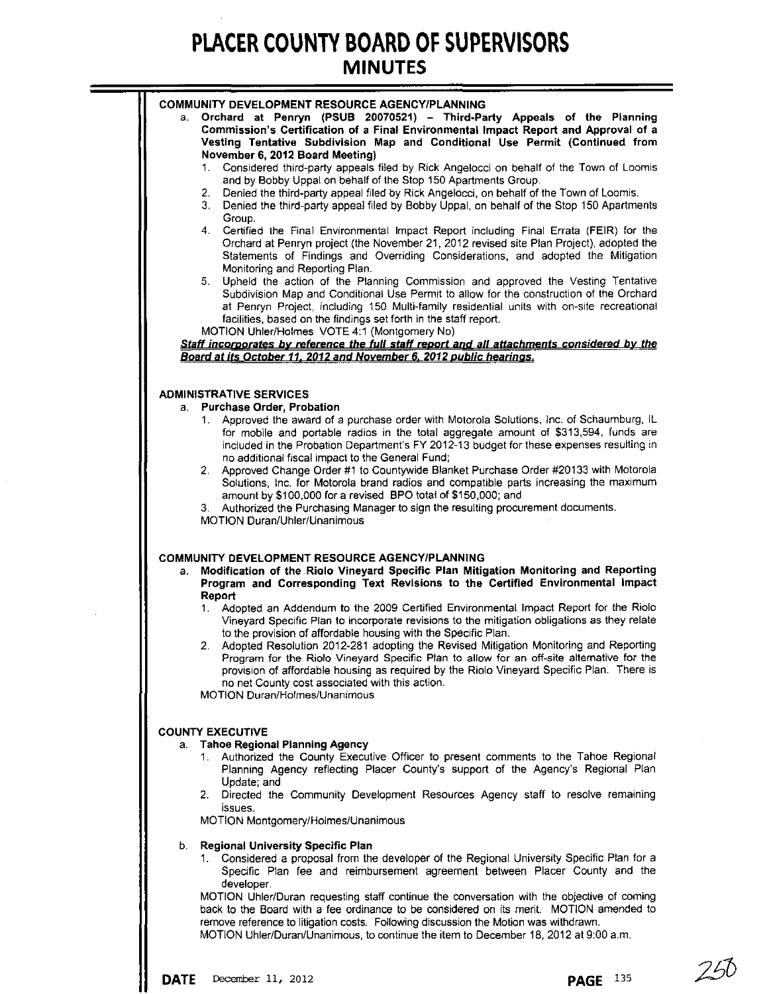| <b>COMMUNITY DEVELOPMENT RESOURCE AGENCY/PLANNING</b><br>a. Orchard at Penryn (PSUB 20070521) - Third-Party Appeals of the Planning                                                                                                                                                                                                                                                            |
|------------------------------------------------------------------------------------------------------------------------------------------------------------------------------------------------------------------------------------------------------------------------------------------------------------------------------------------------------------------------------------------------|
| Commission's Certification of a Final Environmental Impact Report and Approval of a<br>Vesting Tentative Subdivision Map and Conditional Use Permit (Continued from<br>November 6, 2012 Board Meeting)                                                                                                                                                                                         |
| Considered third-party appeals filed by Rick Angelocci on behalf of the Town of Loomis<br>1.<br>and by Bobby Uppal on behalf of the Stop 150 Apartments Group.                                                                                                                                                                                                                                 |
| Denied the third-party appeal filed by Rick Angelocci, on behalf of the Town of Loomis.<br>2.<br>3. Denied the third-party appeal filed by Bobby Uppal, on behalf of the Stop 150 Apartments<br>Group.                                                                                                                                                                                         |
| 4. Certified the Final Environmental Impact Report including Final Errata (FEIR) for the<br>Orchard at Penryn project (the November 21, 2012 revised site Plan Project), adopted the<br>Statements of Findings and Overriding Considerations, and adopted the Mitigation<br>Monitoring and Reporting Plan.                                                                                     |
| 5. Upheld the action of the Planning Commission and approved the Vesting Tentative<br>Subdivision Map and Conditional Use Permit to allow for the construction of the Orchard<br>at Penryn Project, including 150 Multi-family residential units with on-site recreational<br>facilities, based on the findings set forth in the staff report.<br>MOTION Uhler/Holmes VOTE 4:1 (Montgomery No) |
| Staff incorporates by reference the full staff report and all attachments considered by the                                                                                                                                                                                                                                                                                                    |
| Board at its October 11, 2012 and November 6, 2012 public hearings.                                                                                                                                                                                                                                                                                                                            |
|                                                                                                                                                                                                                                                                                                                                                                                                |
| <b>ADMINISTRATIVE SERVICES</b>                                                                                                                                                                                                                                                                                                                                                                 |
| a. Purchase Order, Probation                                                                                                                                                                                                                                                                                                                                                                   |
| Approved the award of a purchase order with Motorola Solutions, Inc. of Schaumburg, IL<br>1.<br>for mobile and portable radios in the total aggregate amount of \$313,594, funds are<br>included in the Probation Department's FY 2012-13 budget for these expenses resulting in<br>no additional fiscal impact to the General Fund;                                                           |
| 2. Approved Change Order #1 to Countywide Blanket Purchase Order #20133 with Motorola<br>Solutions, Inc. for Motorola brand radios and compatible parts increasing the maximum<br>amount by \$100,000 for a revised BPO total of \$150,000; and<br>Authorized the Purchasing Manager to sign the resulting procurement documents.<br>3.                                                        |
| <b>MOTION Duran/Uhler/Unanimous</b>                                                                                                                                                                                                                                                                                                                                                            |
| <b>COMMUNITY DEVELOPMENT RESOURCE AGENCY/PLANNING</b>                                                                                                                                                                                                                                                                                                                                          |
| a. Modification of the Riolo Vineyard Specific Plan Mitigation Monitoring and Reporting<br>Program and Corresponding Text Revisions to the Certified Environmental Impact<br>Report                                                                                                                                                                                                            |
| Adopted an Addendum to the 2009 Certified Environmental Impact Report for the Riolo<br>1.<br>Vineyard Specific Plan to incorporate revisions to the mitigation obligations as they relate<br>to the provision of affordable housing with the Specific Plan.                                                                                                                                    |
| Adopted Resolution 2012-281 adopting the Revised Mitigation Monitoring and Reporting<br>Program for the Riolo Vineyard Specific Plan to allow for an off-site alternative for the<br>provision of affordable housing as required by the Riolo Vineyard Specific Plan. There is<br>no net County cost associated with this action.<br><b>MOTION Duran/Holmes/Unanimous</b>                      |
|                                                                                                                                                                                                                                                                                                                                                                                                |
| <b>COUNTY EXECUTIVE</b>                                                                                                                                                                                                                                                                                                                                                                        |
| a. Tahoe Regional Planning Agency<br>Authorized the County Executive Officer to present comments to the Tahoe Regional<br>Planning Agency reflecting Placer County's support of the Agency's Regional Plan<br>Update; and                                                                                                                                                                      |
| 2. Directed the Community Development Resources Agency staff to resolve remaining<br>issues.<br>MOTION Montgomery/Holmes/Unanimous                                                                                                                                                                                                                                                             |
|                                                                                                                                                                                                                                                                                                                                                                                                |
| b. Regional University Specific Plan                                                                                                                                                                                                                                                                                                                                                           |
| 1. Considered a proposal from the developer of the Regional University Specific Plan for a<br>Specific Plan fee and reimbursement agreement between Placer County and the<br>developer.                                                                                                                                                                                                        |
| MOTION Uhler/Duran requesting staff continue the conversation with the objective of coming<br>back to the Board with a fee ordinance to be considered on its merit. MOTION amended to                                                                                                                                                                                                          |

back to the Board with a fee ordinance to be considered on its merit. MOTION amended to remove reference to litigation costs. Following discussion the Motion was withdrawn. MOTION Uhler/Duran/Unanimous, to continue the item to December 18, 2012 at 9:00 a.m.

250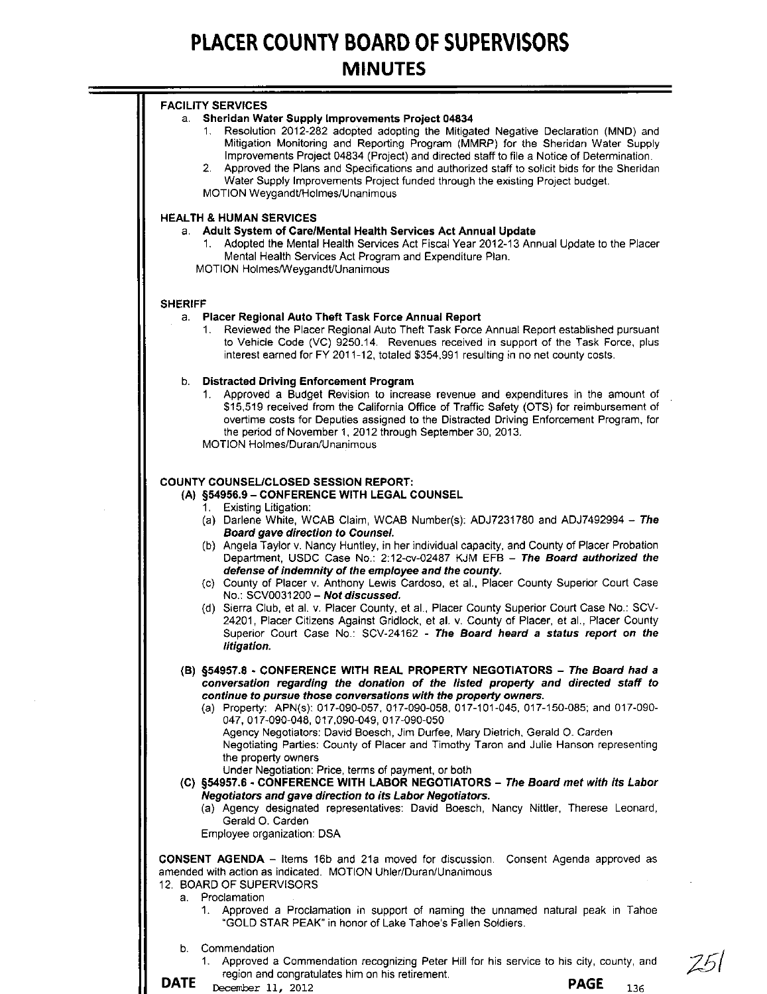| а.             | <b>FACILITY SERVICES</b><br>Sheridan Water Supply Improvements Project 04834<br>Resolution 2012-282 adopted adopting the Mitigated Negative Declaration (MND) and<br>1.<br>Mitigation Monitoring and Reporting Program (MMRP) for the Sheridan Water Supply<br>Improvements Project 04834 (Project) and directed staff to file a Notice of Determination.<br>2. Approved the Plans and Specifications and authorized staff to solicit bids for the Sheridan<br>Water Supply Improvements Project funded through the existing Project budget.<br>MOTION Weygandt/Holmes/Unanimous                                                                                                                                                                                                                                                                                                                                            |
|----------------|-----------------------------------------------------------------------------------------------------------------------------------------------------------------------------------------------------------------------------------------------------------------------------------------------------------------------------------------------------------------------------------------------------------------------------------------------------------------------------------------------------------------------------------------------------------------------------------------------------------------------------------------------------------------------------------------------------------------------------------------------------------------------------------------------------------------------------------------------------------------------------------------------------------------------------|
| a.             | <b>HEALTH &amp; HUMAN SERVICES</b><br>Adult System of Care/Mental Health Services Act Annual Update<br>Adopted the Mental Health Services Act Fiscal Year 2012-13 Annual Update to the Placer<br>1.<br>Mental Health Services Act Program and Expenditure Plan.<br>MOTION Holmes/Weygandt/Unanimous                                                                                                                                                                                                                                                                                                                                                                                                                                                                                                                                                                                                                         |
| <b>SHERIFF</b> |                                                                                                                                                                                                                                                                                                                                                                                                                                                                                                                                                                                                                                                                                                                                                                                                                                                                                                                             |
|                | a. Placer Regional Auto Theft Task Force Annual Report<br>Reviewed the Placer Regional Auto Theft Task Force Annual Report established pursuant<br>1.<br>to Vehicle Code (VC) 9250.14. Revenues received in support of the Task Force, plus<br>interest earned for FY 2011-12, totaled \$354,991 resulting in no net county costs.                                                                                                                                                                                                                                                                                                                                                                                                                                                                                                                                                                                          |
| b.             | <b>Distracted Driving Enforcement Program</b><br>1. Approved a Budget Revision to increase revenue and expenditures in the amount of<br>\$15,519 received from the California Office of Traffic Safety (OTS) for reimbursement of<br>overtime costs for Deputies assigned to the Distracted Driving Enforcement Program, for<br>the period of November 1, 2012 through September 30, 2013.<br>MOTION Holmes/Duran/Unanimous                                                                                                                                                                                                                                                                                                                                                                                                                                                                                                 |
|                | <b>COUNTY COUNSEL/CLOSED SESSION REPORT:</b><br>(A) §54956.9 - CONFERENCE WITH LEGAL COUNSEL<br>1 Existing Litigation:<br>(a) Darlene White, WCAB Claim, WCAB Number(s): ADJ7231780 and ADJ7492994 - The<br>Board gave direction to Counsel.<br>(b) Angela Taylor v. Nancy Huntley, in her individual capacity, and County of Placer Probation<br>Department, USDC Case No.: 2:12-cv-02487 KJM EFB - The Board authorized the<br>defense of indemnity of the employee and the county.<br>(c) County of Placer v. Anthony Lewis Cardoso, et al., Placer County Superior Court Case<br>No.: SCV0031200 - Not discussed.<br>(d) Sierra Club, et al. v. Placer County, et al., Placer County Superior Court Case No.: SCV-<br>24201, Placer Citizens Against Gridlock, et al. v. County of Placer, et al., Placer County<br>Superior Court Case No.: SCV-24162 - The Board heard a status report on the<br>litigation.          |
|                | (B) §54957.8 - CONFERENCE WITH REAL PROPERTY NEGOTIATORS - The Board had a<br>conversation regarding the donation of the listed property and directed staff to<br>continue to pursue those conversations with the property owners.<br>(a) Property: APN(s): 017-090-057, 017-090-058, 017-101-045, 017-150-085; and 017-090-<br>047, 017-090-048, 017,090-049, 017-090-050<br>Agency Negotiators: David Boesch, Jim Durfee, Mary Dietrich, Gerald O. Carden<br>Negotiating Parties: County of Placer and Timothy Taron and Julie Hanson representing<br>the property owners<br>Under Negotiation: Price, terms of payment, or both<br>(C) §54957.6 - CONFERENCE WITH LABOR NEGOTIATORS - The Board met with its Labor<br>Negotiators and gave direction to its Labor Negotiators.<br>(a) Agency designated representatives: David Boesch, Nancy Nittler, Therese Leonard,<br>Gerald O. Carden<br>Employee organization: DSA |
|                | CONSENT AGENDA - Items 16b and 21a moved for discussion. Consent Agenda approved as<br>amended with action as indicated. MOTION Uhler/Duran/Unanimous<br>12. BOARD OF SUPERVISORS<br>a. Proclamation<br>1. Approved a Proclamation in support of naming the unnamed natural peak in Tahoe<br>"GOLD STAR PEAK" in honor of Lake Tahoe's Fallen Soldiers.                                                                                                                                                                                                                                                                                                                                                                                                                                                                                                                                                                     |
| <b>DATE</b>    | b. Commendation<br>1. Approved a Commendation recognizing Peter Hill for his service to his city, county, and<br>region and congratulates him on his retirement.<br><b>PAGE</b><br>December 11, 2012<br>136                                                                                                                                                                                                                                                                                                                                                                                                                                                                                                                                                                                                                                                                                                                 |

251

DATE region and congratulates him on his retirement.<br>December 11, 2012  $136$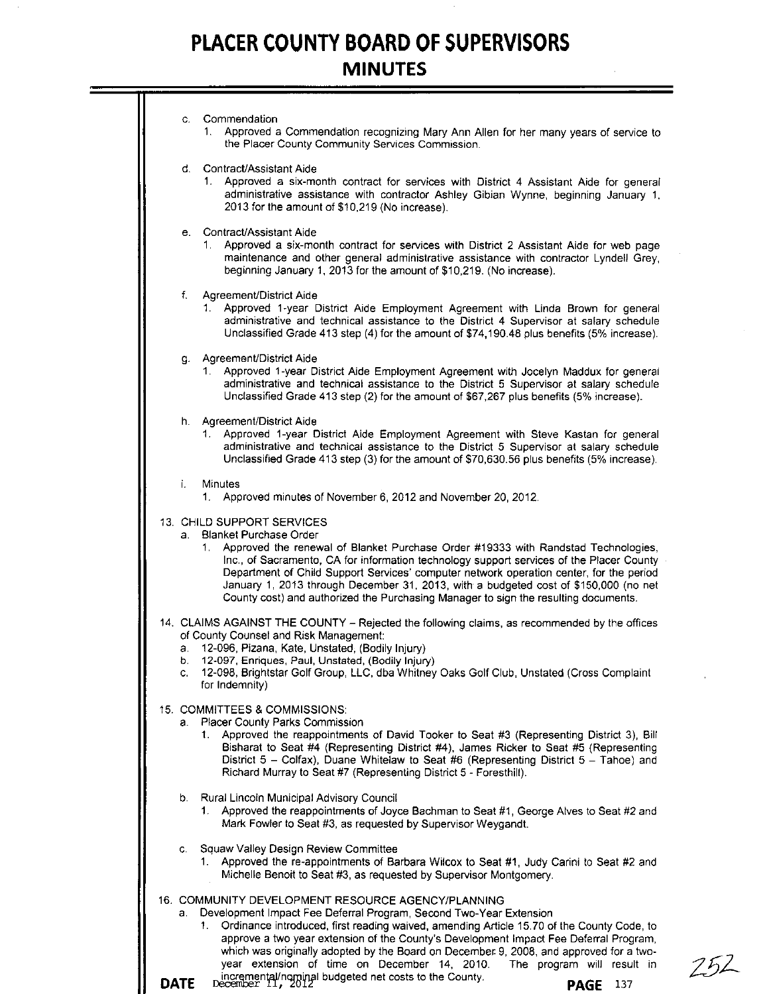|          | c. Commendation<br>1. Approved a Commendation recognizing Mary Ann Allen for her many years of service to<br>the Placer County Community Services Commission.                                                                                                                                                                                                                                                                                                                                                              |
|----------|----------------------------------------------------------------------------------------------------------------------------------------------------------------------------------------------------------------------------------------------------------------------------------------------------------------------------------------------------------------------------------------------------------------------------------------------------------------------------------------------------------------------------|
|          | d. Contract/Assistant Aide<br>1. Approved a six-month contract for services with District 4 Assistant Aide for general<br>administrative assistance with contractor Ashley Gibian Wynne, beginning January 1,<br>2013 for the amount of \$10,219 (No increase).                                                                                                                                                                                                                                                            |
|          | e. Contract/Assistant Aide<br>1. Approved a six-month contract for services with District 2 Assistant Aide for web page<br>maintenance and other general administrative assistance with contractor Lyndell Grey,<br>beginning January 1, 2013 for the amount of \$10,219. (No increase).                                                                                                                                                                                                                                   |
| f.       | Agreement/District Aide<br>1. Approved 1-year District Aide Employment Agreement with Linda Brown for general<br>administrative and technical assistance to the District 4 Supervisor at salary schedule<br>Unclassified Grade 413 step (4) for the amount of \$74,190.48 plus benefits (5% increase).                                                                                                                                                                                                                     |
|          | g. Agreement/District Aide<br>Approved 1-year District Aide Employment Agreement with Jocelyn Maddux for general<br>1.<br>administrative and technical assistance to the District 5 Supervisor at salary schedule<br>Unclassified Grade 413 step (2) for the amount of \$67,267 plus benefits (5% increase).                                                                                                                                                                                                               |
|          | h. Agreement/District Aide<br>Approved 1-year District Aide Employment Agreement with Steve Kastan for general<br>1.<br>administrative and technical assistance to the District 5 Supervisor at salary schedule<br>Unclassified Grade 413 step (3) for the amount of \$70,630.56 plus benefits (5% increase).                                                                                                                                                                                                              |
| i.       | Minutes<br>1. Approved minutes of November 6, 2012 and November 20, 2012.                                                                                                                                                                                                                                                                                                                                                                                                                                                  |
|          | 13. CHILD SUPPORT SERVICES<br>a. Blanket Purchase Order<br>Approved the renewal of Blanket Purchase Order #19333 with Randstad Technologies,<br>1.<br>Inc., of Sacramento, CA for information technology support services of the Placer County -<br>Department of Child Support Services' computer network operation center, for the period<br>January 1, 2013 through December 31, 2013, with a budgeted cost of \$150,000 (no net<br>County cost) and authorized the Purchasing Manager to sign the resulting documents. |
| b.<br>C. | 14. CLAIMS AGAINST THE COUNTY - Rejected the following claims, as recommended by the offices<br>of County Counsel and Risk Management:<br>a. 12-096, Pizana, Kate, Unstated, (Bodily Injury)<br>12-097, Enriques, Paul, Unstated, (Bodily Injury)<br>12-098, Brightstar Golf Group, LLC, dba Whitney Oaks Golf Club, Unstated (Cross Complaint<br>for Indemnity)                                                                                                                                                           |
| a.       | 15. COMMITTEES & COMMISSIONS:<br><b>Placer County Parks Commission</b><br>Approved the reappointments of David Tooker to Seat #3 (Representing District 3), Bill<br>1.<br>Bisharat to Seat #4 (Representing District #4), James Ricker to Seat #5 (Representing<br>District $5$ – Colfax), Duane Whitelaw to Seat #6 (Representing District $5$ – Tahoe) and<br>Richard Murray to Seat #7 (Representing District 5 - Foresthill).                                                                                          |
|          | b. Rural Lincoln Municipal Advisory Council<br>Approved the reappointments of Joyce Bachman to Seat #1, George Alves to Seat #2 and<br>1.<br>Mark Fowler to Seat #3, as requested by Supervisor Weygandt.                                                                                                                                                                                                                                                                                                                  |
|          | c. Squaw Valley Design Review Committee<br>Approved the re-appointments of Barbara Wilcox to Seat #1, Judy Carini to Seat #2 and<br>1.<br>Michelle Benoit to Seat #3, as requested by Supervisor Montgomery.                                                                                                                                                                                                                                                                                                               |
| a.       | 16. COMMUNITY DEVELOPMENT RESOURCE AGENCY/PLANNING<br>Development Impact Fee Deferral Program, Second Two-Year Extension<br>Ordinance introduced, first reading waived, amending Article 15.70 of the County Code, to<br>1.<br>approve a two year extension of the County's Development Impact Fee Deferral Program,<br>which was originally adopted by the Board on December 9, 2008, and approved for a two-<br>year extension of time on December 14, 2010. The program will result in                                  |

252

**DATE** paremental/nominal budgeted net costs to the County. **PAGE 137 DAGE** 137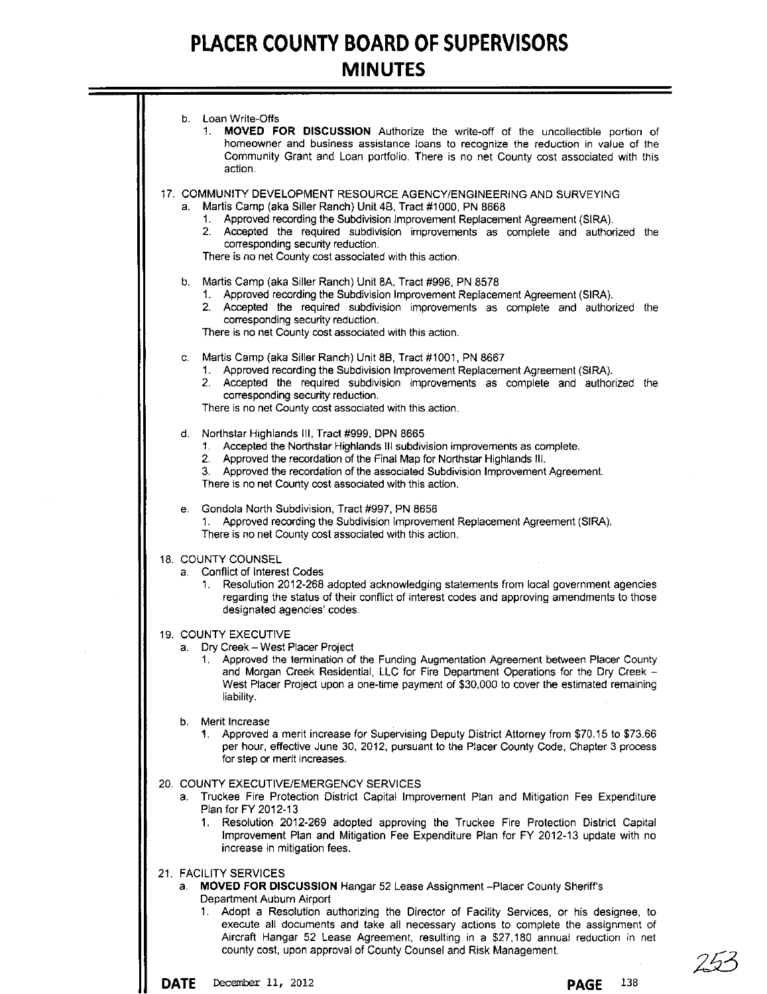| Loan Write-Offs<br>b.<br>MOVED FOR DISCUSSION Authorize the write-off of the uncollectible portion of<br>1 <sub>1</sub><br>homeowner and business assistance ioans to recognize the reduction in value of the<br>Community Grant and Loan portfolio. There is no net County cost associated with this<br>action.                                                                                                                                                                   |  |
|------------------------------------------------------------------------------------------------------------------------------------------------------------------------------------------------------------------------------------------------------------------------------------------------------------------------------------------------------------------------------------------------------------------------------------------------------------------------------------|--|
| 17. COMMUNITY DEVELOPMENT RESOURCE AGENCY/ENGINEERING AND SURVEYING<br>a. Martis Camp (aka Siller Ranch) Unit 4B, Tract #1000, PN 8668<br>1. Approved recording the Subdivision Improvement Replacement Agreement (SIRA).<br>2. Accepted the required subdivision improvements as complete and authorized the<br>corresponding security reduction.<br>There is no net County cost associated with this action.                                                                     |  |
| b.<br>Martis Camp (aka Siller Ranch) Unit 8A, Tract #996, PN 8578<br>1. Approved recording the Subdivision Improvement Replacement Agreement (SIRA).<br>2. Accepted the required subdivision improvements as complete and authorized the<br>corresponding security reduction.<br>There is no net County cost associated with this action.                                                                                                                                          |  |
| Martis Camp (aka Siller Ranch) Unit 8B, Tract #1001, PN 8667<br>c.<br>1. Approved recording the Subdivision Improvement Replacement Agreement (SIRA).<br>2. Accepted the required subdivision improvements as complete and authorized the<br>corresponding security reduction.<br>There is no net County cost associated with this action.                                                                                                                                         |  |
| Northstar Highlands III, Tract #999, DPN 8665<br>d.<br>1. Accepted the Northstar Highlands III subdivision improvements as complete.<br>2. Approved the recordation of the Final Map for Northstar Highlands III.<br>3. Approved the recordation of the associated Subdivision Improvement Agreement.<br>There is no net County cost associated with this action.                                                                                                                  |  |
| Gondola North Subdivision, Tract #997, PN 8656<br>е.<br>Approved recording the Subdivision Improvement Replacement Agreement (SIRA).<br>There is no net County cost associated with this action.                                                                                                                                                                                                                                                                                   |  |
| 18. COUNTY COUNSEL<br>a. Conflict of Interest Codes<br>Resolution 2012-268 adopted acknowledging statements from local government agencies<br>1.<br>regarding the status of their conflict of interest codes and approving amendments to those<br>designated agencies' codes.                                                                                                                                                                                                      |  |
| 19. COUNTY EXECUTIVE<br>a. Dry Creek - West Placer Project<br>1. Approved the termination of the Funding Augmentation Agreement between Placer County<br>and Morgan Creek Residential, LLC for Fire Department Operations for the Dry Creek -<br>West Placer Project upon a one-time payment of \$30,000 to cover the estimated remaining<br>liability.                                                                                                                            |  |
| b. Merit Increase<br>Approved a merit increase for Supervising Deputy District Attorney from \$70.15 to \$73.66<br>1.<br>per hour, effective June 30, 2012, pursuant to the Placer County Code, Chapter 3 process<br>for step or merit increases.                                                                                                                                                                                                                                  |  |
| 20. COUNTY EXECUTIVE/EMERGENCY SERVICES<br>a. Truckee Fire Protection District Capital Improvement Plan and Mitigation Fee Expenditure<br>Plan for FY 2012-13<br>Resolution 2012-269 adopted approving the Truckee Fire Protection District Capital<br>1.<br>Improvement Plan and Mitigation Fee Expenditure Plan for FY 2012-13 update with no<br>increase in mitigation fees.                                                                                                    |  |
| 21. FACILITY SERVICES<br>a. MOVED FOR DISCUSSION Hangar 52 Lease Assignment -Placer County Sheriff's<br>Department Auburn Airport<br>Adopt a Resolution authorizing the Director of Facility Services, or his designee, to<br>1.<br>execute all documents and take all necessary actions to complete the assignment of<br>Aircraft Hangar 52 Lease Agreement, resulting in a \$27,180 annual reduction in net<br>county cost, upon approval of County Counsel and Risk Management. |  |

 $257$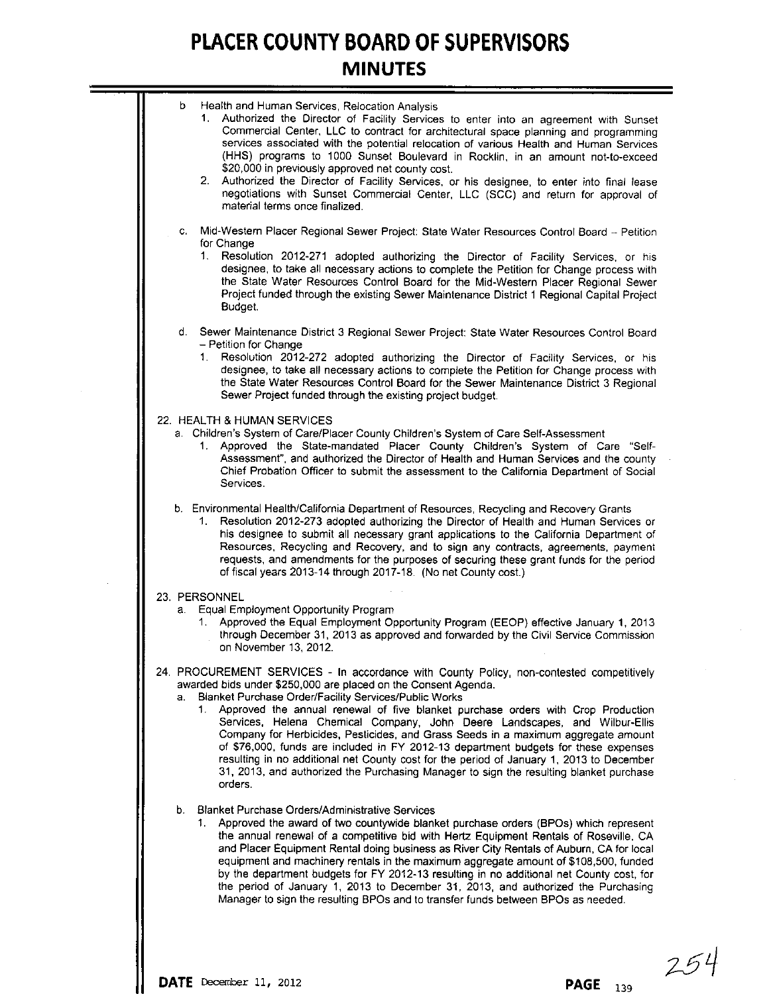| b<br>Health and Human Services, Relocation Analysis<br>1. Authorized the Director of Facility Services to enter into an agreement with Sunset<br>Commercial Center, LLC to contract for architectural space planning and programming<br>services associated with the potential relocation of various Health and Human Services<br>(HHS) programs to 1000 Sunset Boulevard in Rocklin, in an amount not-to-exceed<br>\$20,000 in previously approved net county cost.<br>2. Authorized the Director of Facility Services, or his designee, to enter into final lease<br>negotiations with Sunset Commercial Center, LLC (SCC) and return for approval of<br>material terms once finalized.                                                                                      |
|--------------------------------------------------------------------------------------------------------------------------------------------------------------------------------------------------------------------------------------------------------------------------------------------------------------------------------------------------------------------------------------------------------------------------------------------------------------------------------------------------------------------------------------------------------------------------------------------------------------------------------------------------------------------------------------------------------------------------------------------------------------------------------|
| Mid-Western Placer Regional Sewer Project: State Water Resources Control Board -- Petition<br>c.<br>for Change<br>1. Resolution 2012-271 adopted authorizing the Director of Facility Services, or his<br>designee, to take all necessary actions to complete the Petition for Change process with<br>the State Water Resources Control Board for the Mid-Western Placer Regional Sewer<br>Project funded through the existing Sewer Maintenance District 1 Regional Capital Project<br>Budget.                                                                                                                                                                                                                                                                                |
| d. Sewer Maintenance District 3 Regional Sewer Project: State Water Resources Control Board<br>- Petition for Change<br>1. Resolution 2012-272 adopted authorizing the Director of Facility Services, or his<br>designee, to take all necessary actions to complete the Petition for Change process with<br>the State Water Resources Control Board for the Sewer Maintenance District 3 Regional<br>Sewer Project funded through the existing project budget.                                                                                                                                                                                                                                                                                                                 |
| 22. HEALTH & HUMAN SERVICES<br>a. Children's System of Care/Placer County Children's System of Care Self-Assessment<br>Approved the State-mandated Placer County Children's System of Care "Self-<br>1.<br>Assessment", and authorized the Director of Health and Human Services and the county<br>Chief Probation Officer to submit the assessment to the California Department of Social<br>Services.                                                                                                                                                                                                                                                                                                                                                                        |
| b. Environmental Health/California Department of Resources, Recycling and Recovery Grants<br>Resolution 2012-273 adopted authorizing the Director of Health and Human Services or<br>1.<br>his designee to submit all necessary grant applications to the California Department of<br>Resources, Recycling and Recovery, and to sign any contracts, agreements, payment<br>requests, and amendments for the purposes of securing these grant funds for the period<br>of fiscal years 2013-14 through 2017-18. (No net County cost.)                                                                                                                                                                                                                                            |
| 23. PERSONNEL<br>a. Equal Employment Opportunity Program<br>Approved the Equal Employment Opportunity Program (EEOP) effective January 1, 2013<br>1.<br>through December 31, 2013 as approved and forwarded by the Civil Service Commission<br>on November 13, 2012.                                                                                                                                                                                                                                                                                                                                                                                                                                                                                                           |
| 24. PROCUREMENT SERVICES - In accordance with County Policy, non-contested competitively<br>awarded bids under \$250,000 are placed on the Consent Agenda.<br>Blanket Purchase Order/Facility Services/Public Works<br>a.<br>Approved the annual renewal of five blanket purchase orders with Crop Production<br>1.<br>Services, Helena Chemical Company, John Deere Landscapes, and Wilbur-Ellis<br>Company for Herbicides, Pesticides, and Grass Seeds in a maximum aggregate amount<br>of \$76,000, funds are included in FY 2012-13 department budgets for these expenses<br>resulting in no additional net County cost for the period of January 1, 2013 to December<br>31, 2013, and authorized the Purchasing Manager to sign the resulting blanket purchase<br>orders. |
| b. Blanket Purchase Orders/Administrative Services<br>Approved the award of two countywide blanket purchase orders (BPOs) which represent<br>1.<br>the annual renewal of a competitive bid with Hertz Equipment Rentals of Roseville, CA<br>and Placer Equipment Rental doing business as River City Rentals of Auburn, CA for local<br>equipment and machinery rentals in the maximum aggregate amount of \$108,500, funded<br>by the department budgets for FY 2012-13 resulting in no additional net County cost, for<br>the period of January 1, 2013 to December 31, 2013, and authorized the Purchasing<br>Manager to sign the resulting BPOs and to transfer funds between BPOs as needed.                                                                              |
|                                                                                                                                                                                                                                                                                                                                                                                                                                                                                                                                                                                                                                                                                                                                                                                |

254

**DATE** December 11, 2012 **PAGE** 139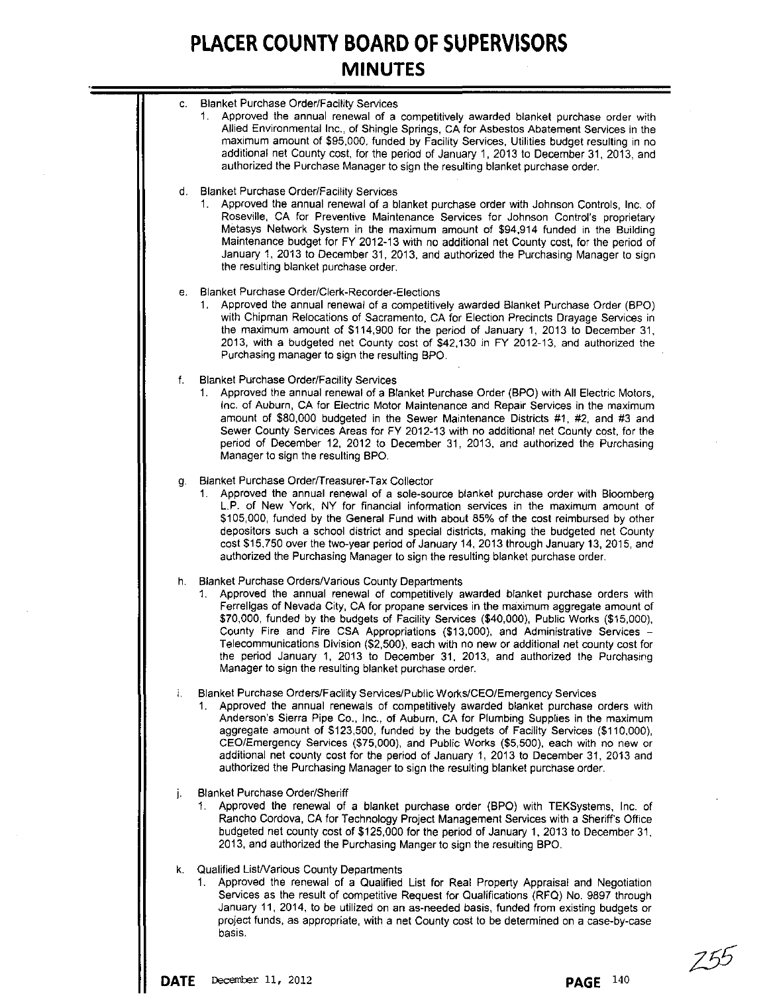| C. | <b>Blanket Purchase Order/Facility Services</b><br>Approved the annual renewal of a competitively awarded blanket purchase order with<br>1.<br>Allied Environmental Inc., of Shingle Springs, CA for Asbestos Abatement Services in the<br>maximum amount of \$95,000, funded by Facility Services, Utilities budget resulting in no<br>additional net County cost, for the period of January 1, 2013 to December 31, 2013, and<br>authorized the Purchase Manager to sign the resulting blanket purchase order.                                                                                                                                              |
|----|---------------------------------------------------------------------------------------------------------------------------------------------------------------------------------------------------------------------------------------------------------------------------------------------------------------------------------------------------------------------------------------------------------------------------------------------------------------------------------------------------------------------------------------------------------------------------------------------------------------------------------------------------------------|
| d. | <b>Blanket Purchase Order/Facility Services</b><br>1. Approved the annual renewal of a blanket purchase order with Johnson Controls, Inc. of<br>Roseville, CA for Preventive Maintenance Services for Johnson Control's proprietary<br>Metasys Network System in the maximum amount of \$94,914 funded in the Building<br>Maintenance budget for FY 2012-13 with no additional net County cost, for the period of<br>January 1, 2013 to December 31, 2013, and authorized the Purchasing Manager to sign<br>the resulting blanket purchase order.                                                                                                             |
| е. | Blanket Purchase Order/Clerk-Recorder-Elections<br>Approved the annual renewal of a competitively awarded Blanket Purchase Order (BPO)<br>1.<br>with Chipman Relocations of Sacramento, CA for Election Precincts Drayage Services in<br>the maximum amount of \$114,900 for the period of January 1, 2013 to December 31,<br>2013, with a budgeted net County cost of \$42,130 in FY 2012-13, and authorized the<br>Purchasing manager to sign the resulting BPO.                                                                                                                                                                                            |
| f. | <b>Blanket Purchase Order/Facility Services</b><br>1. Approved the annual renewal of a Blanket Purchase Order (BPO) with All Electric Motors,<br>Inc. of Auburn, CA for Electric Motor Maintenance and Repair Services in the maximum<br>amount of \$80,000 budgeted in the Sewer Maintenance Districts $#1, #2,$ and $#3$ and<br>Sewer County Services Areas for FY 2012-13 with no additional net County cost, for the<br>period of December 12, 2012 to December 31, 2013, and authorized the Purchasing<br>Manager to sign the resulting BPO.                                                                                                             |
| g. | Blanket Purchase Order/Treasurer-Tax Collector<br>1. Approved the annual renewal of a sole-source blanket purchase order with Bloomberg<br>L.P. of New York, NY for financial information services in the maximum amount of<br>\$105,000, funded by the General Fund with about 85% of the cost reimbursed by other<br>depositors such a school district and special districts, making the budgeted net County<br>cost \$15,750 over the two-year period of January 14, 2013 through January 13, 2015, and<br>authorized the Purchasing Manager to sign the resulting blanket purchase order.                                                                 |
| h. | Blanket Purchase Orders/Various County Departments<br>1. Approved the annual renewal of competitively awarded blanket purchase orders with<br>Ferreligas of Nevada City, CA for propane services in the maximum aggregate amount of<br>\$70,000, funded by the budgets of Facility Services (\$40,000), Public Works (\$15,000),<br>County Fire and Fire CSA Appropriations (\$13,000), and Administrative Services -<br>Telecommunications Division (\$2,500), each with no new or additional net county cost for<br>the period January 1, 2013 to December 31, 2013, and authorized the Purchasing<br>Manager to sign the resulting blanket purchase order. |
| i. | Blanket Purchase Orders/Facility Services/Public Works/CEO/Emergency Services<br>Approved the annual renewals of competitively awarded blanket purchase orders with<br>$1_{-}$<br>Anderson's Sierra Pipe Co., Inc., of Auburn, CA for Plumbing Supplies in the maximum<br>aggregate amount of \$123,500, funded by the budgets of Facility Services (\$110,000),<br>CEO/Emergency Services (\$75,000), and Public Works (\$5,500), each with no new or<br>additional net county cost for the period of January 1, 2013 to December 31, 2013 and<br>authorized the Purchasing Manager to sign the resulting blanket purchase order.                            |
| j. | <b>Blanket Purchase Order/Sheriff</b><br>Approved the renewal of a blanket purchase order (BPO) with TEKSystems, Inc. of<br>1.<br>Rancho Cordova, CA for Technology Project Management Services with a Sheriff's Office<br>budgeted net county cost of \$125,000 for the period of January 1, 2013 to December 31,<br>2013, and authorized the Purchasing Manger to sign the resulting BPO.                                                                                                                                                                                                                                                                   |
|    | k. Qualified List/Various County Departments<br>Approved the renewal of a Qualified List for Real Property Appraisal and Negotiation<br>1.<br>Services as the result of competitive Request for Qualifications (RFQ) No. 9897 through<br>January 11, 2014, to be utilized on an as-needed basis, funded from existing budgets or<br>project funds, as appropriate, with a net County cost to be determined on a case-by-case<br>basis.                                                                                                                                                                                                                        |

255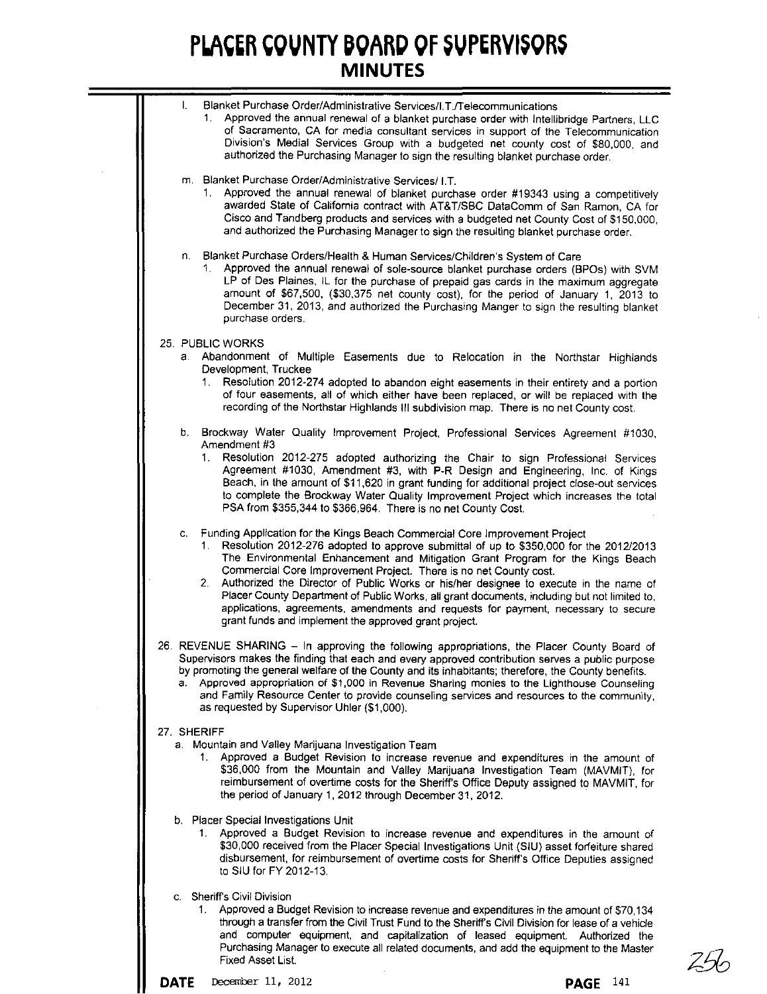| L.          | Blanket Purchase Order/Administrative Services/I.T./Telecommunications<br>Approved the annual renewal of a blanket purchase order with Intellibridge Partners, LLC<br>1.<br>of Sacramento, CA for media consultant services in support of the Telecommunication<br>Division's Medial Services Group with a budgeted net county cost of \$80,000, and<br>authorized the Purchasing Manager to sign the resulting blanket purchase order.                                                                                                                                                                                                                                         |
|-------------|---------------------------------------------------------------------------------------------------------------------------------------------------------------------------------------------------------------------------------------------------------------------------------------------------------------------------------------------------------------------------------------------------------------------------------------------------------------------------------------------------------------------------------------------------------------------------------------------------------------------------------------------------------------------------------|
|             | m. Blanket Purchase Order/Administrative Services/ I.T.<br>Approved the annual renewal of blanket purchase order #19343 using a competitively<br>1.<br>awarded State of California contract with AT&T/SBC DataComm of San Ramon, CA for<br>Cisco and Tandberg products and services with a budgeted net County Cost of \$150,000,<br>and authorized the Purchasing Manager to sign the resulting blanket purchase order.                                                                                                                                                                                                                                                        |
| n.          | Blanket Purchase Orders/Health & Human Services/Children's System of Care<br>1. Approved the annual renewal of sole-source blanket purchase orders (BPOs) with SVM<br>LP of Des Plaines, IL for the purchase of prepaid gas cards in the maximum aggregate<br>amount of \$67,500, (\$30,375 net county cost), for the period of January 1, 2013 to<br>December 31, 2013, and authorized the Purchasing Manger to sign the resulting blanket<br>purchase orders.                                                                                                                                                                                                                 |
|             | 25. PUBLIC WORKS                                                                                                                                                                                                                                                                                                                                                                                                                                                                                                                                                                                                                                                                |
|             | a. Abandonment of Multiple Easements due to Relocation in the Northstar Highlands<br>Development, Truckee                                                                                                                                                                                                                                                                                                                                                                                                                                                                                                                                                                       |
|             | Resolution 2012-274 adopted to abandon eight easements in their entirety and a portion<br>of four easements, all of which either have been replaced, or will be replaced with the<br>recording of the Northstar Highlands III subdivision map. There is no net County cost.                                                                                                                                                                                                                                                                                                                                                                                                     |
|             | b. Brockway Water Quality Improvement Project, Professional Services Agreement #1030,                                                                                                                                                                                                                                                                                                                                                                                                                                                                                                                                                                                           |
|             | Amendment #3<br>1. Resolution 2012-275 adopted authorizing the Chair to sign Professional Services<br>Agreement #1030, Amendment #3, with P-R Design and Engineering, Inc. of Kings<br>Beach, in the amount of \$11,620 in grant funding for additional project close-out services<br>to complete the Brockway Water Quality Improvement Project which increases the total<br>PSA from \$355,344 to \$366,964. There is no net County Cost.                                                                                                                                                                                                                                     |
|             | c. Funding Application for the Kings Beach Commercial Core Improvement Project<br>Resolution 2012-276 adopted to approve submittal of up to \$350,000 for the 2012/2013<br>1.<br>The Environmental Enhancement and Mitigation Grant Program for the Kings Beach<br>Commercial Core Improvement Project. There is no net County cost.<br>2. Authorized the Director of Public Works or his/her designee to execute in the name of<br>Placer County Department of Public Works, all grant documents, including but not limited to,<br>applications, agreements, amendments and requests for payment, necessary to secure<br>grant funds and implement the approved grant project. |
| a.          | 26. REVENUE SHARING - In approving the following appropriations, the Placer County Board of<br>Supervisors makes the finding that each and every approved contribution serves a public purpose<br>by promoting the general welfare of the County and its inhabitants; therefore, the County benefits.<br>Approved appropriation of \$1,000 in Revenue Sharing monies to the Lighthouse Counseling<br>and Family Resource Center to provide counseling services and resources to the community,<br>as requested by Supervisor Uhler (\$1,000).                                                                                                                                   |
| 27. SHERIFF | a. Mountain and Valley Marijuana Investigation Team<br>1. Approved a Budget Revision to increase revenue and expenditures in the amount of<br>\$36,000 from the Mountain and Valley Marijuana Investigation Team (MAVMIT), for<br>reimbursement of overtime costs for the Sheriff's Office Deputy assigned to MAVMIT, for<br>the period of January 1, 2012 through December 31, 2012.                                                                                                                                                                                                                                                                                           |
|             | b. Placer Special Investigations Unit<br>1. Approved a Budget Revision to increase revenue and expenditures in the amount of<br>\$30,000 received from the Placer Special Investigations Unit (SIU) asset forfeiture shared<br>disbursement, for reimbursement of overtime costs for Sheriff's Office Deputies assigned<br>to SIU for FY 2012-13.                                                                                                                                                                                                                                                                                                                               |
|             | c. Sheriff's Civil Division<br>Approved a Budget Revision to increase revenue and expenditures in the amount of \$70,134<br>1.<br>through a transfer from the Civil Trust Fund to the Sheriff's Civil Division for lease of a vehicle<br>and computer equipment, and capitalization of leased equipment. Authorized the<br>Purchasing Manager to execute all related documents, and add the equipment to the Master<br>Fixed Asset List.                                                                                                                                                                                                                                        |
| <b>DATE</b> | December 11, 2012<br>141<br><b>PAGE</b>                                                                                                                                                                                                                                                                                                                                                                                                                                                                                                                                                                                                                                         |

 $256$ 

 $\mathcal{L}_{\mathcal{A}}$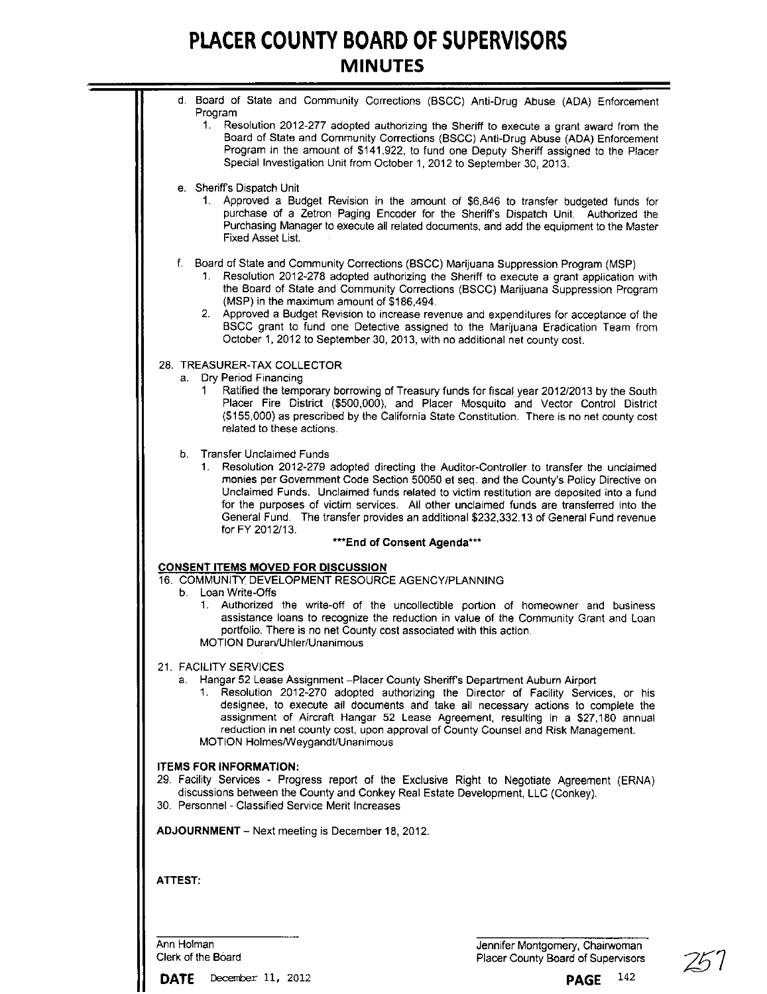|                                  | Program                                                                                             | d. Board of State and Community Corrections (BSCC) Anti-Drug Abuse (ADA) Enforcement                                                                                                                                                                                                                                                                                                                                                                                                                                                 |
|----------------------------------|-----------------------------------------------------------------------------------------------------|--------------------------------------------------------------------------------------------------------------------------------------------------------------------------------------------------------------------------------------------------------------------------------------------------------------------------------------------------------------------------------------------------------------------------------------------------------------------------------------------------------------------------------------|
|                                  |                                                                                                     | 1. Resolution 2012-277 adopted authorizing the Sheriff to execute a grant award from the<br>Board of State and Community Corrections (BSCC) Anti-Drug Abuse (ADA) Enforcement<br>Program in the amount of \$141,922, to fund one Deputy Sheriff assigned to the Placer<br>Special Investigation Unit from October 1, 2012 to September 30, 2013.                                                                                                                                                                                     |
|                                  | e. Sheriff's Dispatch Unit<br>Fixed Asset List.                                                     | 1. Approved a Budget Revision in the amount of \$6,846 to transfer budgeted funds for<br>purchase of a Zetron Paging Encoder for the Sheriff's Dispatch Unit. Authorized the<br>Purchasing Manager to execute all related documents, and add the equipment to the Master                                                                                                                                                                                                                                                             |
| 1.                               | (MSP) in the maximum amount of \$186,494.                                                           | f. Board of State and Community Corrections (BSCC) Marijuana Suppression Program (MSP)<br>Resolution 2012-278 adopted authorizing the Sheriff to execute a grant application with<br>the Board of State and Community Corrections (BSCC) Marijuana Suppression Program<br>2. Approved a Budget Revision to increase revenue and expenditures for acceptance of the<br>BSCC grant to fund one Detective assigned to the Marijuana Eradication Team from<br>October 1, 2012 to September 30, 2013, with no additional net county cost. |
|                                  | 28. TREASURER-TAX COLLECTOR                                                                         |                                                                                                                                                                                                                                                                                                                                                                                                                                                                                                                                      |
|                                  | a. Dry Period Financing                                                                             |                                                                                                                                                                                                                                                                                                                                                                                                                                                                                                                                      |
| 1.                               | related to these actions.                                                                           | Ratified the temporary borrowing of Treasury funds for fiscal year 2012/2013 by the South<br>Placer Fire District (\$500,000), and Placer Mosquito and Vector Control District<br>(\$155,000) as prescribed by the California State Constitution. There is no net county cost                                                                                                                                                                                                                                                        |
| b.<br>1.                         | <b>Transfer Unclaimed Funds</b><br>for FY 2012/13.                                                  | Resolution 2012-279 adopted directing the Auditor-Controller to transfer the unclaimed<br>monies per Government Code Section 50050 et seq. and the County's Policy Directive on<br>Unclaimed Funds. Unclaimed funds related to victim restitution are deposited into a fund<br>for the purposes of victim services. All other unclaimed funds are transferred into the<br>General Fund. The transfer provides an additional \$232,332.13 of General Fund revenue<br>*** End of Consent Agenda***                                     |
|                                  | <b>CONSENT ITEMS MOVED FOR DISCUSSION</b>                                                           |                                                                                                                                                                                                                                                                                                                                                                                                                                                                                                                                      |
|                                  | 16. COMMUNITY DEVELOPMENT RESOURCE AGENCY/PLANNING<br>b. Loan Write-Offs                            |                                                                                                                                                                                                                                                                                                                                                                                                                                                                                                                                      |
|                                  | portfolio. There is no net County cost associated with this action.<br>MOTION Duran/Uhler/Unanimous | 1. Authorized the write-off of the uncollectible portion of homeowner and business<br>assistance loans to recognize the reduction in value of the Community Grant and Loan                                                                                                                                                                                                                                                                                                                                                           |
|                                  | 21. FACILITY SERVICES                                                                               |                                                                                                                                                                                                                                                                                                                                                                                                                                                                                                                                      |
| a.                               | MOTION Holmes/Weygandt/Unanimous                                                                    | Hangar 52 Lease Assignment -- Placer County Sheriff's Department Auburn Airport<br>1. Resolution 2012-270 adopted authorizing the Director of Facility Services, or his<br>designee, to execute all documents and take all necessary actions to complete the<br>assignment of Aircraft Hangar 52 Lease Agreement, resulting in a \$27,180 annual<br>reduction in net county cost, upon approval of County Counsel and Risk Management.                                                                                               |
|                                  | <b>ITEMS FOR INFORMATION:</b><br>30. Personnel - Classified Service Merit Increases                 | 29. Facility Services - Progress report of the Exclusive Right to Negotiate Agreement (ERNA)<br>discussions between the County and Conkey Real Estate Development, LLC (Conkey).                                                                                                                                                                                                                                                                                                                                                     |
|                                  | ADJOURNMENT - Next meeting is December 18, 2012.                                                    |                                                                                                                                                                                                                                                                                                                                                                                                                                                                                                                                      |
|                                  |                                                                                                     |                                                                                                                                                                                                                                                                                                                                                                                                                                                                                                                                      |
| ATTEST:                          |                                                                                                     |                                                                                                                                                                                                                                                                                                                                                                                                                                                                                                                                      |
| Ann Holman<br>Clerk of the Board |                                                                                                     | Jennifer Montgomery, Chairwoman<br>Placer County Board of Supervisors                                                                                                                                                                                                                                                                                                                                                                                                                                                                |
|                                  | December 11, 2012                                                                                   | 142<br><b>PAGE</b>                                                                                                                                                                                                                                                                                                                                                                                                                                                                                                                   |
| <b>DATE</b>                      |                                                                                                     |                                                                                                                                                                                                                                                                                                                                                                                                                                                                                                                                      |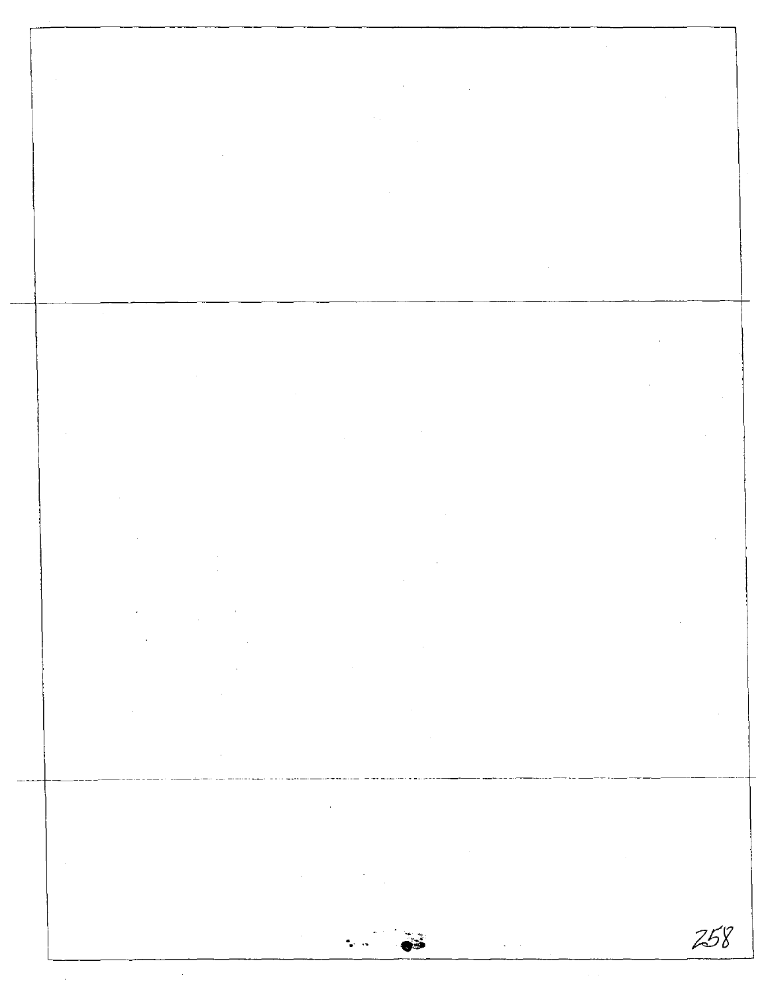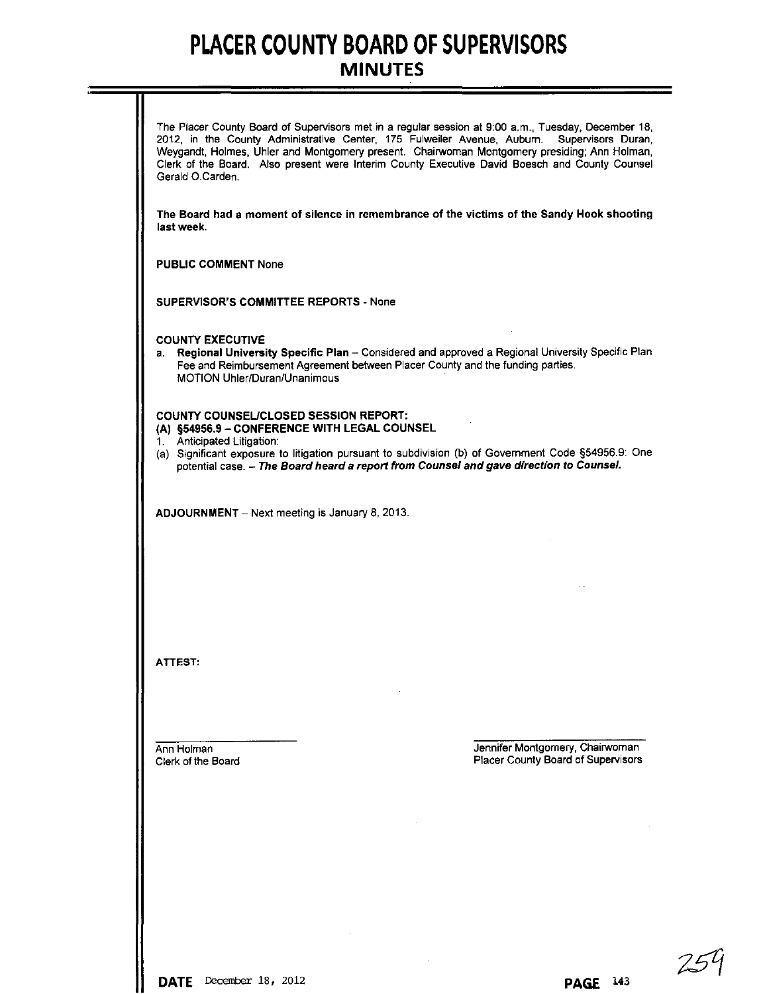**The Placer County Board of Supervisors met in a regular session at 9:00** a.m., **Tuesday, Oecember 18, 2012, in the County Administrative Center, 175 Fulweiler Avenue, Aubum. Supervisors Duran,**  Weygandt, Holmes, Uhler and Montgomery present. Chairwoman Montgomery presiding; Ann Holman, Clerk of the Board. Also present were Interim County Executive David Boesch and County Counsel Gerald O.Carden.

**The Board had a moment of silence in remembrance of the victims of the Sandy Hook shooting**  last week.

PUBLIC COMMENT None

SUPERVISOR'S COMMITTEE REPORTS - None

COUNTY EXECUTIVE

a. Regional University Specific Plan - Considered and approved a Regional University Specific Plan **Fee and Reimbursement Agreement between Placer County and the funding parties.**  MOTION Uhler/Duran/Unanimous

#### COUNTY COUNSEUCLOSED SESSION REPORT:

- (A) §54956.9 CONFERENCE WITH LEGAL COUNSEL
- 1. Anticipated Litigation:
- (a) Significant exposure to litigation pursuant to subdivision (b) of Government Code §54956.9: One potential case. - The Board heard a report from Counsel and gave direction to Counsel.

ADJOURNMENT - Next meeting is January 8, 2013.

ATTEST:

**Ann Holman**  Clerk of the Board

**Jennifer Montgomery, Chairwoman**  Placer County Board of Supervisors